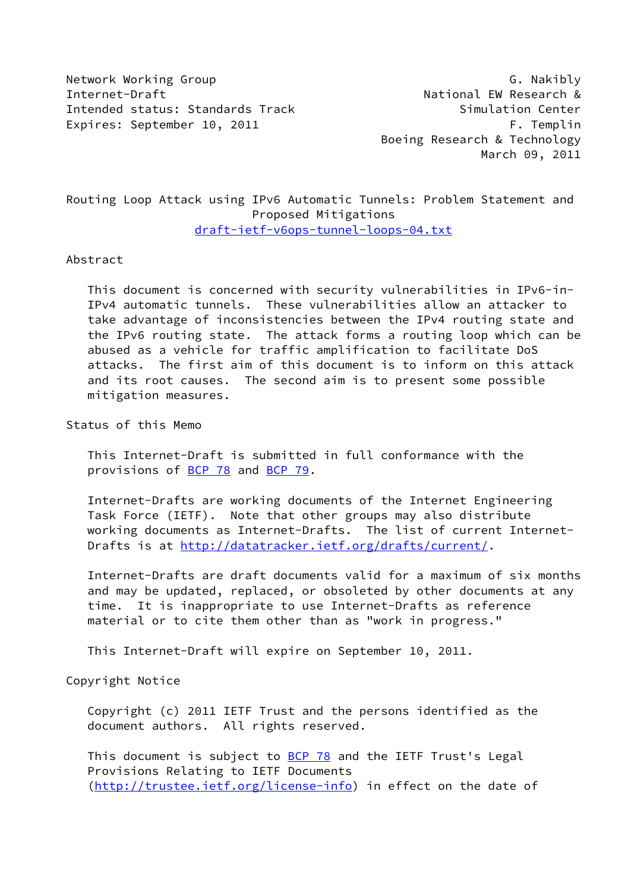Network Working Group Group G. Nakibly Internet-Draft **National EW Research &** Intended status: Standards Track Simulation Center Expires: September 10, 2011 The Contract of the F. Templin

 Boeing Research & Technology March 09, 2011

Routing Loop Attack using IPv6 Automatic Tunnels: Problem Statement and Proposed Mitigations [draft-ietf-v6ops-tunnel-loops-04.txt](https://datatracker.ietf.org/doc/pdf/draft-ietf-v6ops-tunnel-loops-04.txt)

Abstract

 This document is concerned with security vulnerabilities in IPv6-in- IPv4 automatic tunnels. These vulnerabilities allow an attacker to take advantage of inconsistencies between the IPv4 routing state and the IPv6 routing state. The attack forms a routing loop which can be abused as a vehicle for traffic amplification to facilitate DoS attacks. The first aim of this document is to inform on this attack and its root causes. The second aim is to present some possible mitigation measures.

Status of this Memo

 This Internet-Draft is submitted in full conformance with the provisions of [BCP 78](https://datatracker.ietf.org/doc/pdf/bcp78) and [BCP 79](https://datatracker.ietf.org/doc/pdf/bcp79).

 Internet-Drafts are working documents of the Internet Engineering Task Force (IETF). Note that other groups may also distribute working documents as Internet-Drafts. The list of current Internet- Drafts is at<http://datatracker.ietf.org/drafts/current/>.

 Internet-Drafts are draft documents valid for a maximum of six months and may be updated, replaced, or obsoleted by other documents at any time. It is inappropriate to use Internet-Drafts as reference material or to cite them other than as "work in progress."

This Internet-Draft will expire on September 10, 2011.

Copyright Notice

 Copyright (c) 2011 IETF Trust and the persons identified as the document authors. All rights reserved.

This document is subject to **[BCP 78](https://datatracker.ietf.org/doc/pdf/bcp78)** and the IETF Trust's Legal Provisions Relating to IETF Documents [\(http://trustee.ietf.org/license-info](http://trustee.ietf.org/license-info)) in effect on the date of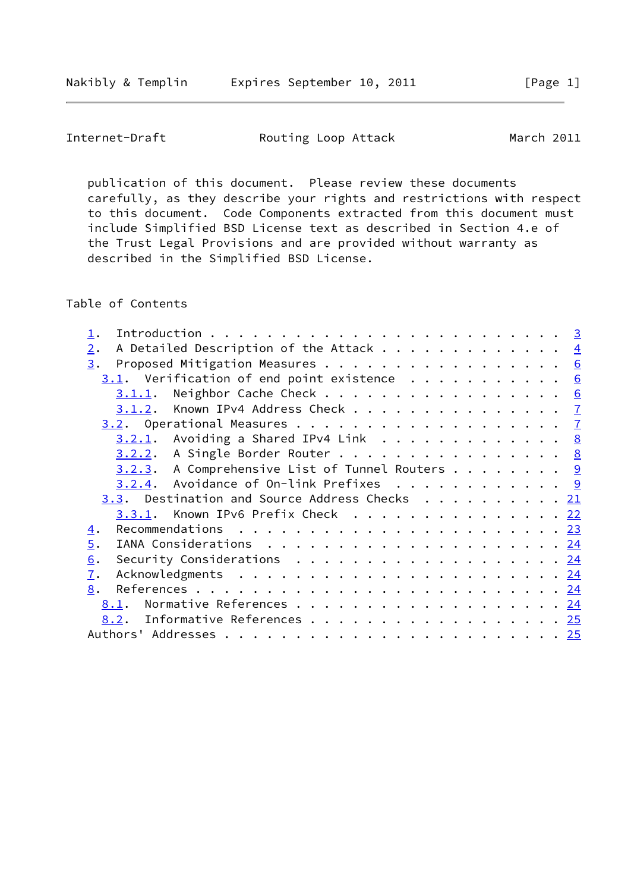Internet-Draft **Routing Loop Attack** March 2011

 publication of this document. Please review these documents carefully, as they describe your rights and restrictions with respect to this document. Code Components extracted from this document must include Simplified BSD License text as described in Section 4.e of the Trust Legal Provisions and are provided without warranty as described in the Simplified BSD License.

Table of Contents

| A Detailed Description of the Attack $\frac{4}{5}$<br>2.                                                           |  |
|--------------------------------------------------------------------------------------------------------------------|--|
| Proposed Mitigation Measures 6<br>3.                                                                               |  |
| $3.1$ . Verification of end point existence 6                                                                      |  |
| Neighbor Cache Check 6<br>3.1.1.                                                                                   |  |
| 3.1.2. Known IPv4 Address Check 7                                                                                  |  |
|                                                                                                                    |  |
| $3.2.1$ . Avoiding a Shared IPv4 Link 8                                                                            |  |
| $3.2.2.$ A Single Border Router 8                                                                                  |  |
| $3.2.3$ . A Comprehensive List of Tunnel Routers 9                                                                 |  |
| $3.2.4$ . Avoidance of On-link Prefixes 9                                                                          |  |
| 3.3. Destination and Source Address Checks 21                                                                      |  |
| Known IPv6 Prefix Check 22<br>3.3.1.                                                                               |  |
| Recommendations $\ldots \ldots \ldots \ldots \ldots \ldots \ldots \ldots \ldots \frac{23}{23}$<br>$\overline{4}$ . |  |
| 5.                                                                                                                 |  |
| Security Considerations $\cdots$ 24<br>6.                                                                          |  |
| $\mathbf{I}$ .                                                                                                     |  |
| 8.                                                                                                                 |  |
| Normative References 24<br>8.1.                                                                                    |  |
| Informative References 25<br>8.2.                                                                                  |  |
|                                                                                                                    |  |
|                                                                                                                    |  |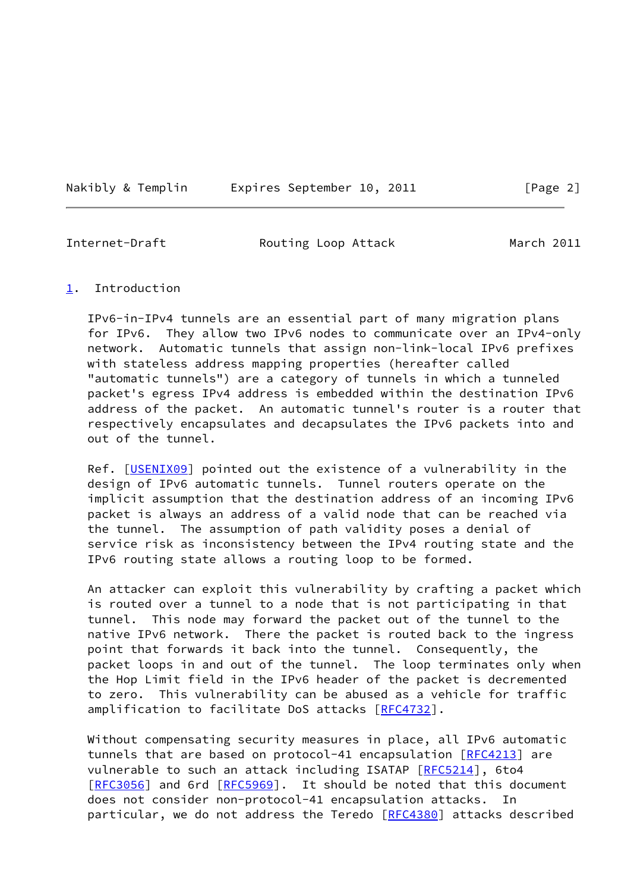Nakibly & Templin Expires September 10, 2011 [Page 2]

<span id="page-2-1"></span>

Internet-Draft **Routing Loop Attack** March 2011

## <span id="page-2-0"></span>[1](#page-2-0). Introduction

 IPv6-in-IPv4 tunnels are an essential part of many migration plans for IPv6. They allow two IPv6 nodes to communicate over an IPv4-only network. Automatic tunnels that assign non-link-local IPv6 prefixes with stateless address mapping properties (hereafter called "automatic tunnels") are a category of tunnels in which a tunneled packet's egress IPv4 address is embedded within the destination IPv6 address of the packet. An automatic tunnel's router is a router that respectively encapsulates and decapsulates the IPv6 packets into and out of the tunnel.

Ref. [\[USENIX09](#page-27-2)] pointed out the existence of a vulnerability in the design of IPv6 automatic tunnels. Tunnel routers operate on the implicit assumption that the destination address of an incoming IPv6 packet is always an address of a valid node that can be reached via the tunnel. The assumption of path validity poses a denial of service risk as inconsistency between the IPv4 routing state and the IPv6 routing state allows a routing loop to be formed.

 An attacker can exploit this vulnerability by crafting a packet which is routed over a tunnel to a node that is not participating in that tunnel. This node may forward the packet out of the tunnel to the native IPv6 network. There the packet is routed back to the ingress point that forwards it back into the tunnel. Consequently, the packet loops in and out of the tunnel. The loop terminates only when the Hop Limit field in the IPv6 header of the packet is decremented to zero. This vulnerability can be abused as a vehicle for traffic amplification to facilitate DoS attacks [\[RFC4732](https://datatracker.ietf.org/doc/pdf/rfc4732)].

 Without compensating security measures in place, all IPv6 automatic tunnels that are based on protocol-41 encapsulation [\[RFC4213](https://datatracker.ietf.org/doc/pdf/rfc4213)] are vulnerable to such an attack including ISATAP [[RFC5214](https://datatracker.ietf.org/doc/pdf/rfc5214)], 6to4 [\[RFC3056](https://datatracker.ietf.org/doc/pdf/rfc3056)] and 6rd [[RFC5969](https://datatracker.ietf.org/doc/pdf/rfc5969)]. It should be noted that this document does not consider non-protocol-41 encapsulation attacks. In particular, we do not address the Teredo [\[RFC4380](https://datatracker.ietf.org/doc/pdf/rfc4380)] attacks described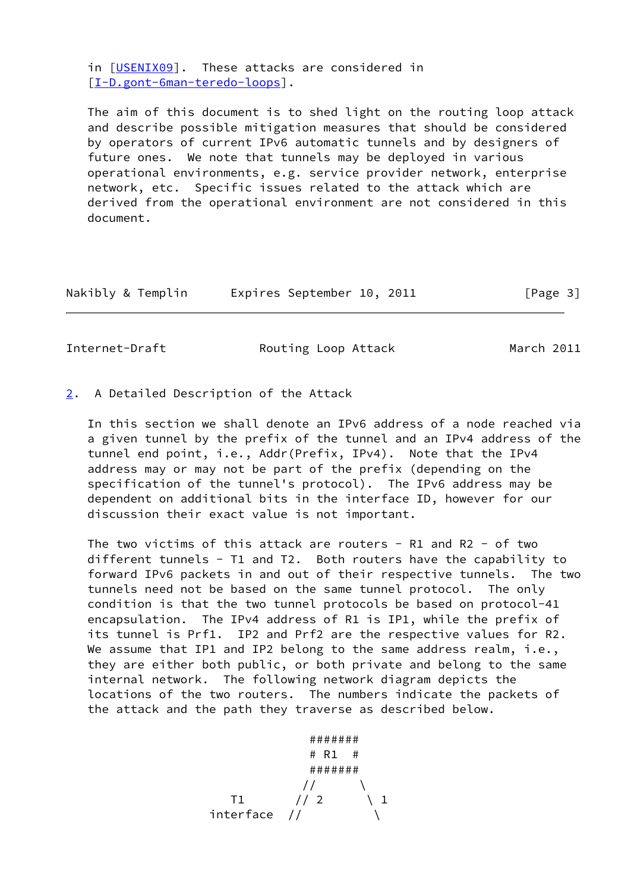in [[USENIX09\]](#page-27-2). These attacks are considered in [\[I-D.gont-6man-teredo-loops\]](#page-27-3).

 The aim of this document is to shed light on the routing loop attack and describe possible mitigation measures that should be considered by operators of current IPv6 automatic tunnels and by designers of future ones. We note that tunnels may be deployed in various operational environments, e.g. service provider network, enterprise network, etc. Specific issues related to the attack which are derived from the operational environment are not considered in this document.

| Nakibly & Templin |  | Expires September 10, 2011 |  |  | [Page 3] |
|-------------------|--|----------------------------|--|--|----------|
|-------------------|--|----------------------------|--|--|----------|

<span id="page-3-1"></span>Internet-Draft **Routing Loop Attack** March 2011

<span id="page-3-0"></span>[2](#page-3-0). A Detailed Description of the Attack

 In this section we shall denote an IPv6 address of a node reached via a given tunnel by the prefix of the tunnel and an IPv4 address of the tunnel end point, i.e., Addr(Prefix, IPv4). Note that the IPv4 address may or may not be part of the prefix (depending on the specification of the tunnel's protocol). The IPv6 address may be dependent on additional bits in the interface ID, however for our discussion their exact value is not important.

The two victims of this attack are routers - R1 and R2 - of two different tunnels - T1 and T2. Both routers have the capability to forward IPv6 packets in and out of their respective tunnels. The two tunnels need not be based on the same tunnel protocol. The only condition is that the two tunnel protocols be based on protocol-41 encapsulation. The IPv4 address of R1 is IP1, while the prefix of its tunnel is Prf1. IP2 and Prf2 are the respective values for R2. We assume that IP1 and IP2 belong to the same address realm, i.e., they are either both public, or both private and belong to the same internal network. The following network diagram depicts the locations of the two routers. The numbers indicate the packets of the attack and the path they traverse as described below.

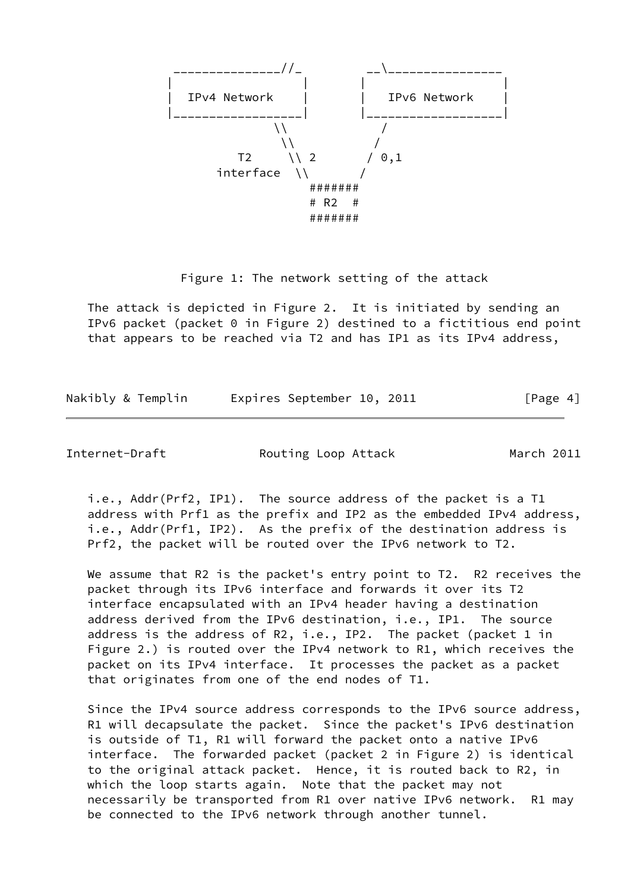

Figure 1: The network setting of the attack

 The attack is depicted in Figure 2. It is initiated by sending an IPv6 packet (packet 0 in Figure 2) destined to a fictitious end point that appears to be reached via T2 and has IP1 as its IPv4 address,

Nakibly & Templin Expires September 10, 2011 [Page 4]

Internet-Draft **Routing Loop Attack** March 2011

 i.e., Addr(Prf2, IP1). The source address of the packet is a T1 address with Prf1 as the prefix and IP2 as the embedded IPv4 address, i.e., Addr(Prf1, IP2). As the prefix of the destination address is Prf2, the packet will be routed over the IPv6 network to T2.

We assume that R2 is the packet's entry point to T2. R2 receives the packet through its IPv6 interface and forwards it over its T2 interface encapsulated with an IPv4 header having a destination address derived from the IPv6 destination, i.e., IP1. The source address is the address of R2, i.e., IP2. The packet (packet 1 in Figure 2.) is routed over the IPv4 network to R1, which receives the packet on its IPv4 interface. It processes the packet as a packet that originates from one of the end nodes of T1.

 Since the IPv4 source address corresponds to the IPv6 source address, R1 will decapsulate the packet. Since the packet's IPv6 destination is outside of T1, R1 will forward the packet onto a native IPv6 interface. The forwarded packet (packet 2 in Figure 2) is identical to the original attack packet. Hence, it is routed back to R2, in which the loop starts again. Note that the packet may not necessarily be transported from R1 over native IPv6 network. R1 may be connected to the IPv6 network through another tunnel.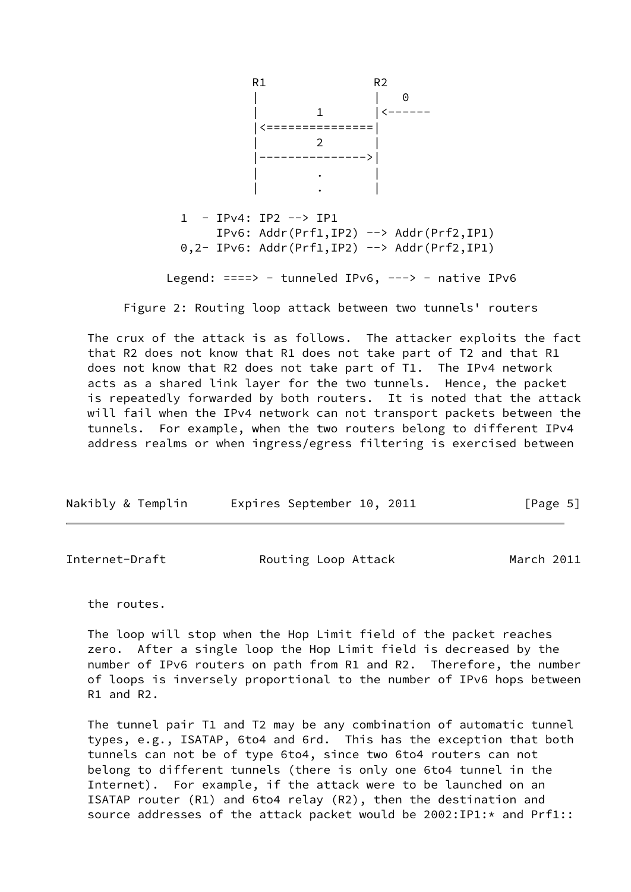

Figure 2: Routing loop attack between two tunnels' routers

 The crux of the attack is as follows. The attacker exploits the fact that R2 does not know that R1 does not take part of T2 and that R1 does not know that R2 does not take part of T1. The IPv4 network acts as a shared link layer for the two tunnels. Hence, the packet is repeatedly forwarded by both routers. It is noted that the attack will fail when the IPv4 network can not transport packets between the tunnels. For example, when the two routers belong to different IPv4 address realms or when ingress/egress filtering is exercised between

| Nakibly & Templin | Expires September 10, 2011 |  | [Page 5] |  |
|-------------------|----------------------------|--|----------|--|
|                   |                            |  |          |  |

<span id="page-5-0"></span>

| Internet-Draft |  | Routing Loop Attack | March 2011 |
|----------------|--|---------------------|------------|
|----------------|--|---------------------|------------|

the routes.

 The loop will stop when the Hop Limit field of the packet reaches zero. After a single loop the Hop Limit field is decreased by the number of IPv6 routers on path from R1 and R2. Therefore, the number of loops is inversely proportional to the number of IPv6 hops between R1 and R2.

 The tunnel pair T1 and T2 may be any combination of automatic tunnel types, e.g., ISATAP, 6to4 and 6rd. This has the exception that both tunnels can not be of type 6to4, since two 6to4 routers can not belong to different tunnels (there is only one 6to4 tunnel in the Internet). For example, if the attack were to be launched on an ISATAP router (R1) and 6to4 relay (R2), then the destination and source addresses of the attack packet would be 2002:IP1:\* and Prf1::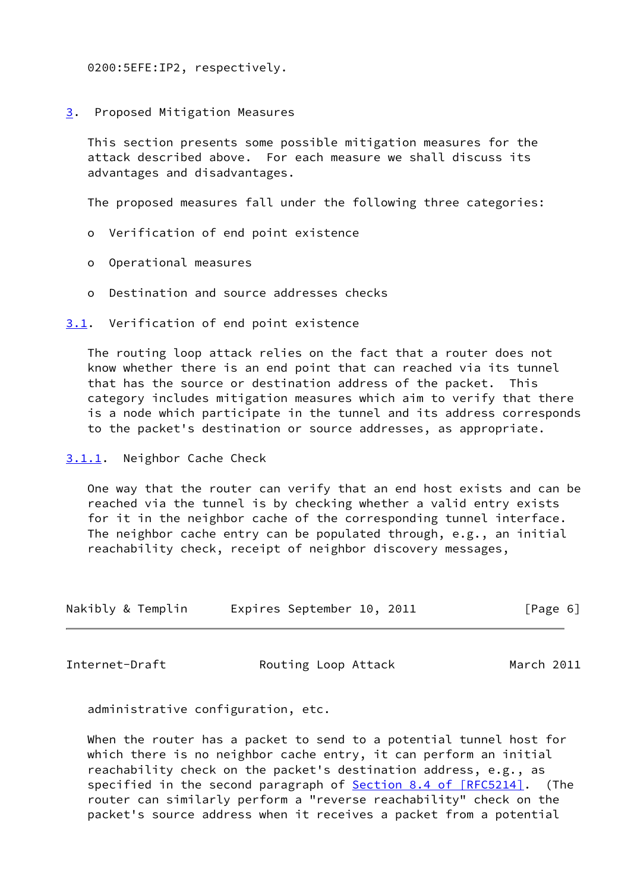0200:5EFE:IP2, respectively.

<span id="page-6-0"></span>[3](#page-6-0). Proposed Mitigation Measures

 This section presents some possible mitigation measures for the attack described above. For each measure we shall discuss its advantages and disadvantages.

The proposed measures fall under the following three categories:

- o Verification of end point existence
- o Operational measures
- o Destination and source addresses checks

<span id="page-6-1"></span>[3.1](#page-6-1). Verification of end point existence

 The routing loop attack relies on the fact that a router does not know whether there is an end point that can reached via its tunnel that has the source or destination address of the packet. This category includes mitigation measures which aim to verify that there is a node which participate in the tunnel and its address corresponds to the packet's destination or source addresses, as appropriate.

<span id="page-6-2"></span>[3.1.1](#page-6-2). Neighbor Cache Check

 One way that the router can verify that an end host exists and can be reached via the tunnel is by checking whether a valid entry exists for it in the neighbor cache of the corresponding tunnel interface. The neighbor cache entry can be populated through, e.g., an initial reachability check, receipt of neighbor discovery messages,

| Nakibly & Templin | Expires September 10, 2011 | [Page 6] |
|-------------------|----------------------------|----------|
|-------------------|----------------------------|----------|

<span id="page-6-3"></span>

Internet-Draft **Routing Loop Attack** March 2011

administrative configuration, etc.

 When the router has a packet to send to a potential tunnel host for which there is no neighbor cache entry, it can perform an initial reachability check on the packet's destination address, e.g., as specified in the second paragraph of **Section [8.4 of \[RFC5214\]](https://datatracker.ietf.org/doc/pdf/rfc5214#section-8.4)**. (The router can similarly perform a "reverse reachability" check on the packet's source address when it receives a packet from a potential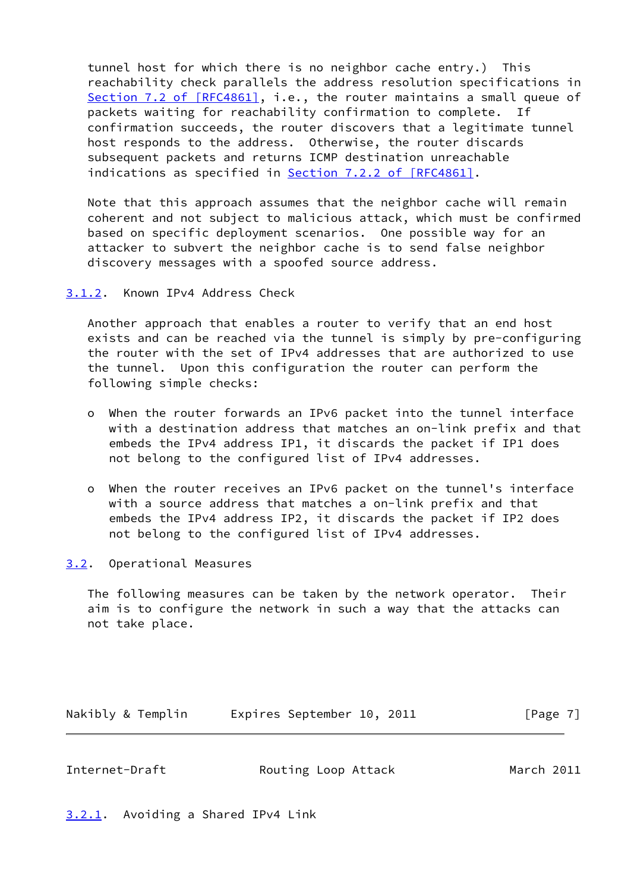tunnel host for which there is no neighbor cache entry.) This reachability check parallels the address resolution specifications in Section [7.2 of \[RFC4861\]](https://datatracker.ietf.org/doc/pdf/rfc4861#section-7.2), i.e., the router maintains a small queue of packets waiting for reachability confirmation to complete. If confirmation succeeds, the router discovers that a legitimate tunnel host responds to the address. Otherwise, the router discards subsequent packets and returns ICMP destination unreachable indications as specified in Section [7.2.2 of \[RFC4861\].](https://datatracker.ietf.org/doc/pdf/rfc4861#section-7.2.2)

 Note that this approach assumes that the neighbor cache will remain coherent and not subject to malicious attack, which must be confirmed based on specific deployment scenarios. One possible way for an attacker to subvert the neighbor cache is to send false neighbor discovery messages with a spoofed source address.

<span id="page-7-0"></span>[3.1.2](#page-7-0). Known IPv4 Address Check

 Another approach that enables a router to verify that an end host exists and can be reached via the tunnel is simply by pre-configuring the router with the set of IPv4 addresses that are authorized to use the tunnel. Upon this configuration the router can perform the following simple checks:

- o When the router forwards an IPv6 packet into the tunnel interface with a destination address that matches an on-link prefix and that embeds the IPv4 address IP1, it discards the packet if IP1 does not belong to the configured list of IPv4 addresses.
- o When the router receives an IPv6 packet on the tunnel's interface with a source address that matches a on-link prefix and that embeds the IPv4 address IP2, it discards the packet if IP2 does not belong to the configured list of IPv4 addresses.

<span id="page-7-1"></span>[3.2](#page-7-1). Operational Measures

 The following measures can be taken by the network operator. Their aim is to configure the network in such a way that the attacks can not take place.

Nakibly & Templin Expires September 10, 2011 [Page 7]

<span id="page-7-3"></span>

| Internet-Draft | Routing Loop Attack | March 2011 |  |
|----------------|---------------------|------------|--|
|                |                     |            |  |

<span id="page-7-2"></span>[3.2.1](#page-7-2). Avoiding a Shared IPv4 Link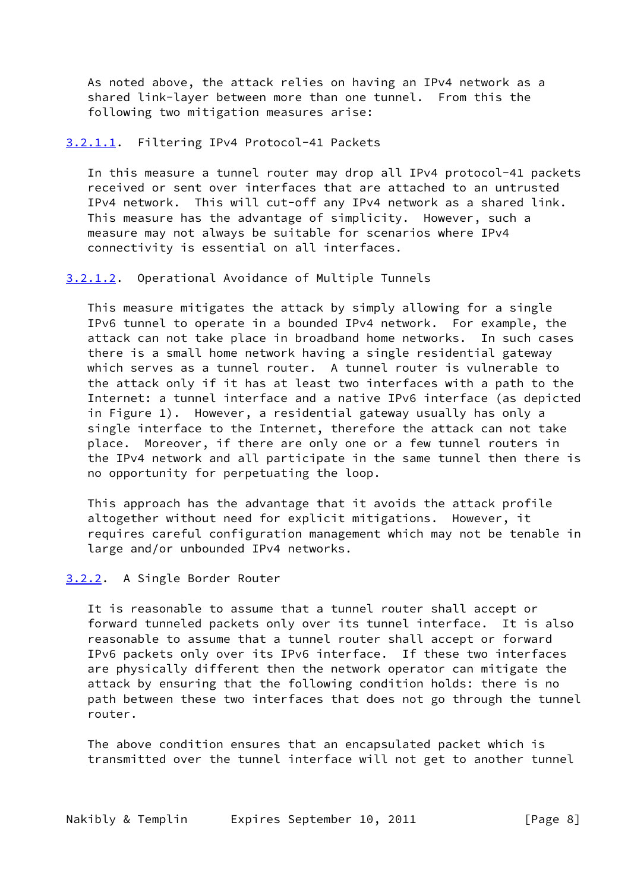As noted above, the attack relies on having an IPv4 network as a shared link-layer between more than one tunnel. From this the following two mitigation measures arise:

# <span id="page-8-1"></span>[3.2.1.1](#page-8-1). Filtering IPv4 Protocol-41 Packets

 In this measure a tunnel router may drop all IPv4 protocol-41 packets received or sent over interfaces that are attached to an untrusted IPv4 network. This will cut-off any IPv4 network as a shared link. This measure has the advantage of simplicity. However, such a measure may not always be suitable for scenarios where IPv4 connectivity is essential on all interfaces.

#### <span id="page-8-2"></span>[3.2.1.2](#page-8-2). Operational Avoidance of Multiple Tunnels

 This measure mitigates the attack by simply allowing for a single IPv6 tunnel to operate in a bounded IPv4 network. For example, the attack can not take place in broadband home networks. In such cases there is a small home network having a single residential gateway which serves as a tunnel router. A tunnel router is vulnerable to the attack only if it has at least two interfaces with a path to the Internet: a tunnel interface and a native IPv6 interface (as depicted in Figure 1). However, a residential gateway usually has only a single interface to the Internet, therefore the attack can not take place. Moreover, if there are only one or a few tunnel routers in the IPv4 network and all participate in the same tunnel then there is no opportunity for perpetuating the loop.

 This approach has the advantage that it avoids the attack profile altogether without need for explicit mitigations. However, it requires careful configuration management which may not be tenable in large and/or unbounded IPv4 networks.

# <span id="page-8-0"></span>[3.2.2](#page-8-0). A Single Border Router

 It is reasonable to assume that a tunnel router shall accept or forward tunneled packets only over its tunnel interface. It is also reasonable to assume that a tunnel router shall accept or forward IPv6 packets only over its IPv6 interface. If these two interfaces are physically different then the network operator can mitigate the attack by ensuring that the following condition holds: there is no path between these two interfaces that does not go through the tunnel router.

 The above condition ensures that an encapsulated packet which is transmitted over the tunnel interface will not get to another tunnel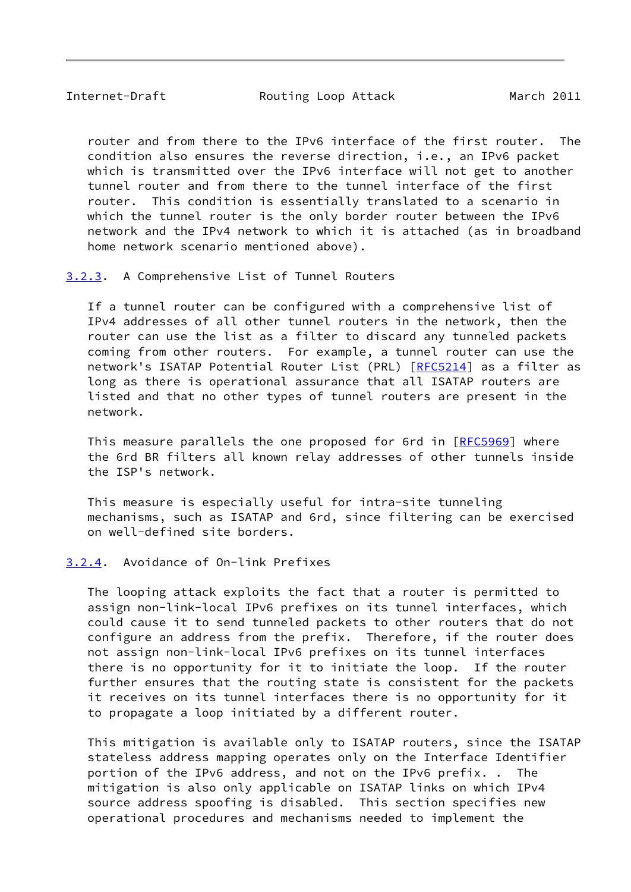<span id="page-9-1"></span>Internet-Draft **Routing Loop Attack** March 2011

 router and from there to the IPv6 interface of the first router. The condition also ensures the reverse direction, i.e., an IPv6 packet which is transmitted over the IPv6 interface will not get to another tunnel router and from there to the tunnel interface of the first router. This condition is essentially translated to a scenario in which the tunnel router is the only border router between the IPv6 network and the IPv4 network to which it is attached (as in broadband home network scenario mentioned above).

<span id="page-9-0"></span>[3.2.3](#page-9-0). A Comprehensive List of Tunnel Routers

 If a tunnel router can be configured with a comprehensive list of IPv4 addresses of all other tunnel routers in the network, then the router can use the list as a filter to discard any tunneled packets coming from other routers. For example, a tunnel router can use the network's ISATAP Potential Router List (PRL) [\[RFC5214](https://datatracker.ietf.org/doc/pdf/rfc5214)] as a filter as long as there is operational assurance that all ISATAP routers are listed and that no other types of tunnel routers are present in the network.

 This measure parallels the one proposed for 6rd in [[RFC5969\]](https://datatracker.ietf.org/doc/pdf/rfc5969) where the 6rd BR filters all known relay addresses of other tunnels inside the ISP's network.

 This measure is especially useful for intra-site tunneling mechanisms, such as ISATAP and 6rd, since filtering can be exercised on well-defined site borders.

# <span id="page-9-2"></span>[3.2.4](#page-9-2). Avoidance of On-link Prefixes

 The looping attack exploits the fact that a router is permitted to assign non-link-local IPv6 prefixes on its tunnel interfaces, which could cause it to send tunneled packets to other routers that do not configure an address from the prefix. Therefore, if the router does not assign non-link-local IPv6 prefixes on its tunnel interfaces there is no opportunity for it to initiate the loop. If the router further ensures that the routing state is consistent for the packets it receives on its tunnel interfaces there is no opportunity for it to propagate a loop initiated by a different router.

 This mitigation is available only to ISATAP routers, since the ISATAP stateless address mapping operates only on the Interface Identifier portion of the IPv6 address, and not on the IPv6 prefix. . The mitigation is also only applicable on ISATAP links on which IPv4 source address spoofing is disabled. This section specifies new operational procedures and mechanisms needed to implement the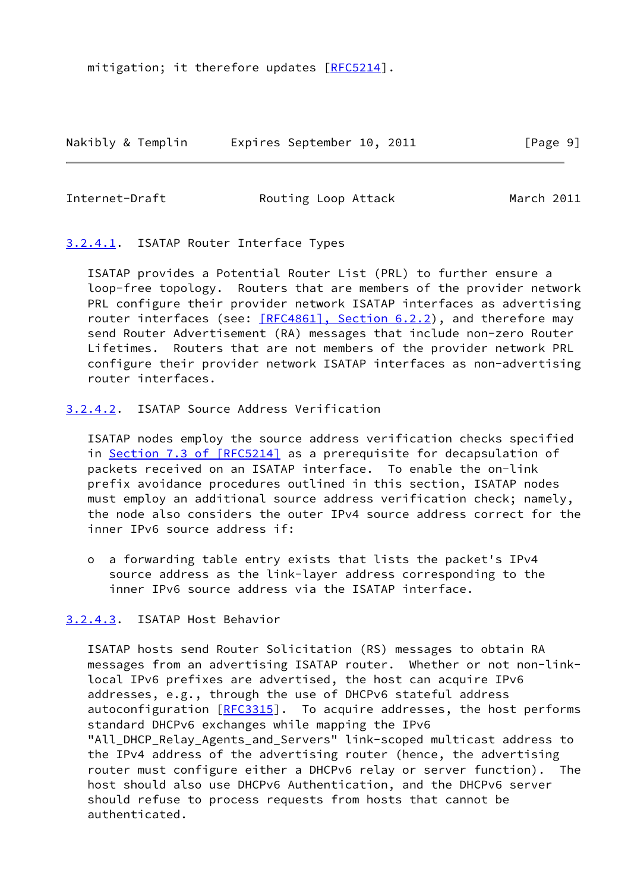mitigation; it therefore updates [\[RFC5214](https://datatracker.ietf.org/doc/pdf/rfc5214)].

Nakibly & Templin Expires September 10, 2011 [Page 9]

Internet-Draft **Routing Loop Attack** March 2011

<span id="page-10-0"></span>[3.2.4.1](#page-10-0). ISATAP Router Interface Types

 ISATAP provides a Potential Router List (PRL) to further ensure a loop-free topology. Routers that are members of the provider network PRL configure their provider network ISATAP interfaces as advertising router interfaces (see: [\[RFC4861\], Section](https://datatracker.ietf.org/doc/pdf/rfc4861#section-6.2.2) 6.2.2), and therefore may send Router Advertisement (RA) messages that include non-zero Router Lifetimes. Routers that are not members of the provider network PRL configure their provider network ISATAP interfaces as non-advertising router interfaces.

# <span id="page-10-1"></span>[3.2.4.2](#page-10-1). ISATAP Source Address Verification

 ISATAP nodes employ the source address verification checks specified in Section [7.3 of \[RFC5214\]](https://datatracker.ietf.org/doc/pdf/rfc5214#section-7.3) as a prerequisite for decapsulation of packets received on an ISATAP interface. To enable the on-link prefix avoidance procedures outlined in this section, ISATAP nodes must employ an additional source address verification check; namely, the node also considers the outer IPv4 source address correct for the inner IPv6 source address if:

 o a forwarding table entry exists that lists the packet's IPv4 source address as the link-layer address corresponding to the inner IPv6 source address via the ISATAP interface.

# <span id="page-10-2"></span>[3.2.4.3](#page-10-2). ISATAP Host Behavior

 ISATAP hosts send Router Solicitation (RS) messages to obtain RA messages from an advertising ISATAP router. Whether or not non-link local IPv6 prefixes are advertised, the host can acquire IPv6 addresses, e.g., through the use of DHCPv6 stateful address autoconfiguration [[RFC3315](https://datatracker.ietf.org/doc/pdf/rfc3315)]. To acquire addresses, the host performs standard DHCPv6 exchanges while mapping the IPv6 "All DHCP Relay Agents and Servers" link-scoped multicast address to the IPv4 address of the advertising router (hence, the advertising router must configure either a DHCPv6 relay or server function). The host should also use DHCPv6 Authentication, and the DHCPv6 server should refuse to process requests from hosts that cannot be authenticated.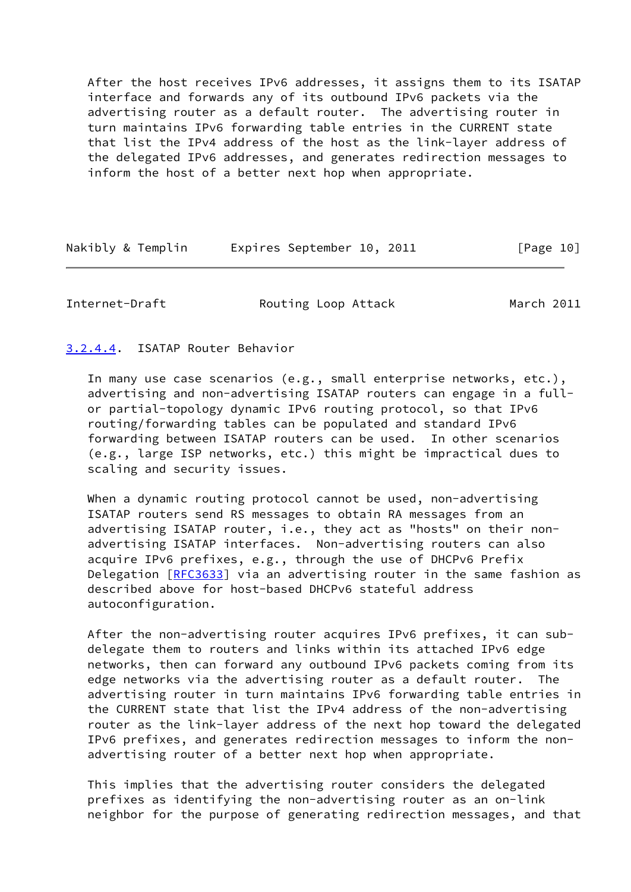After the host receives IPv6 addresses, it assigns them to its ISATAP interface and forwards any of its outbound IPv6 packets via the advertising router as a default router. The advertising router in turn maintains IPv6 forwarding table entries in the CURRENT state that list the IPv4 address of the host as the link-layer address of the delegated IPv6 addresses, and generates redirection messages to inform the host of a better next hop when appropriate.

| Nakibly & Templin |  | Expires September 10, 2011 |  |  | [Page 10] |  |
|-------------------|--|----------------------------|--|--|-----------|--|
|-------------------|--|----------------------------|--|--|-----------|--|

Internet-Draft **Routing Loop Attack** March 2011

# <span id="page-11-0"></span>[3.2.4.4](#page-11-0). ISATAP Router Behavior

 In many use case scenarios (e.g., small enterprise networks, etc.), advertising and non-advertising ISATAP routers can engage in a full or partial-topology dynamic IPv6 routing protocol, so that IPv6 routing/forwarding tables can be populated and standard IPv6 forwarding between ISATAP routers can be used. In other scenarios (e.g., large ISP networks, etc.) this might be impractical dues to scaling and security issues.

When a dynamic routing protocol cannot be used, non-advertising ISATAP routers send RS messages to obtain RA messages from an advertising ISATAP router, i.e., they act as "hosts" on their non advertising ISATAP interfaces. Non-advertising routers can also acquire IPv6 prefixes, e.g., through the use of DHCPv6 Prefix Delegation [[RFC3633\]](https://datatracker.ietf.org/doc/pdf/rfc3633) via an advertising router in the same fashion as described above for host-based DHCPv6 stateful address autoconfiguration.

 After the non-advertising router acquires IPv6 prefixes, it can sub delegate them to routers and links within its attached IPv6 edge networks, then can forward any outbound IPv6 packets coming from its edge networks via the advertising router as a default router. The advertising router in turn maintains IPv6 forwarding table entries in the CURRENT state that list the IPv4 address of the non-advertising router as the link-layer address of the next hop toward the delegated IPv6 prefixes, and generates redirection messages to inform the non advertising router of a better next hop when appropriate.

 This implies that the advertising router considers the delegated prefixes as identifying the non-advertising router as an on-link neighbor for the purpose of generating redirection messages, and that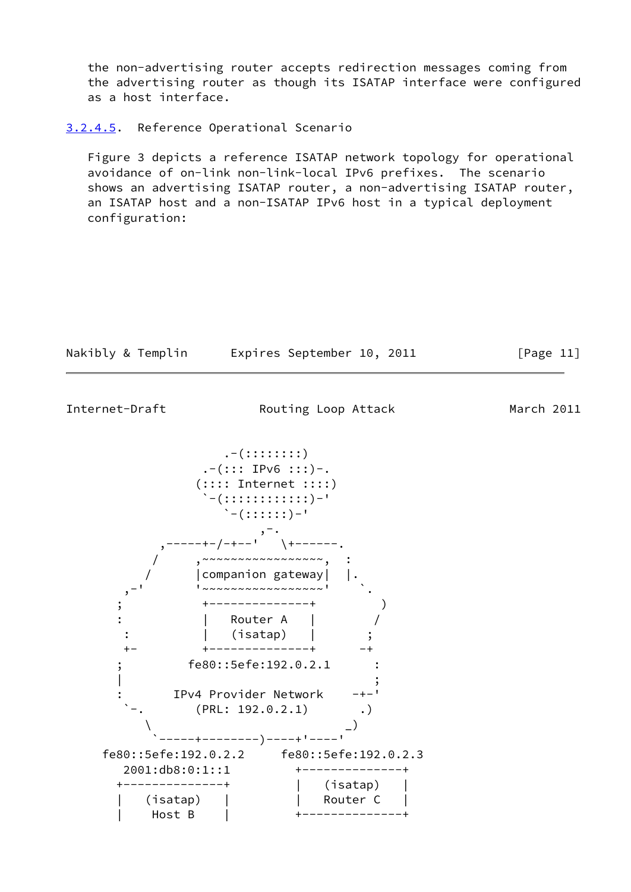the non-advertising router accepts redirection messages coming from the advertising router as though its ISATAP interface were configured as a host interface.

#### <span id="page-12-0"></span>[3.2.4.5](#page-12-0). Reference Operational Scenario

 Figure 3 depicts a reference ISATAP network topology for operational avoidance of on-link non-link-local IPv6 prefixes. The scenario shows an advertising ISATAP router, a non-advertising ISATAP router, an ISATAP host and a non-ISATAP IPv6 host in a typical deployment configuration:

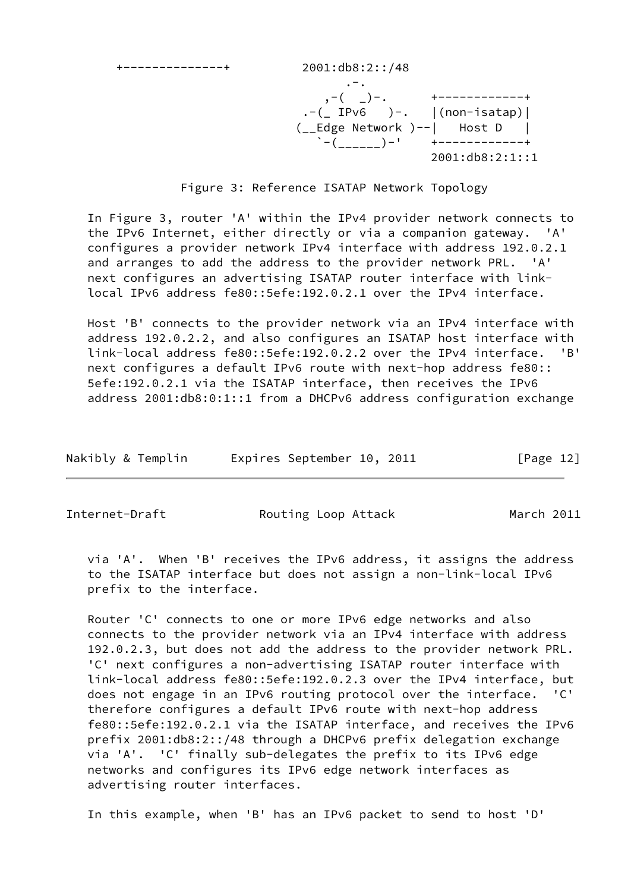+--------------+ 2001:db8:2::/48

 .-. ,-( \_)-. +------------+  $. - ($  IPv6  $) - .$   $|$  (non-isatap) | (\_\_Edge Network )--| Host D |  $\dot{C}$  -( )-' +------------+ 2001:db8:2:1::1

Figure 3: Reference ISATAP Network Topology

 In Figure 3, router 'A' within the IPv4 provider network connects to the IPv6 Internet, either directly or via a companion gateway. 'A' configures a provider network IPv4 interface with address 192.0.2.1 and arranges to add the address to the provider network PRL. 'A' next configures an advertising ISATAP router interface with link local IPv6 address fe80::5efe:192.0.2.1 over the IPv4 interface.

 Host 'B' connects to the provider network via an IPv4 interface with address 192.0.2.2, and also configures an ISATAP host interface with link-local address fe80::5efe:192.0.2.2 over the IPv4 interface. 'B' next configures a default IPv6 route with next-hop address fe80:: 5efe:192.0.2.1 via the ISATAP interface, then receives the IPv6 address 2001:db8:0:1::1 from a DHCPv6 address configuration exchange

| Nakibly & Templin | Expires September 10, 2011 | [Page 12] |
|-------------------|----------------------------|-----------|
|-------------------|----------------------------|-----------|

Internet-Draft **Routing Loop Attack** March 2011

 via 'A'. When 'B' receives the IPv6 address, it assigns the address to the ISATAP interface but does not assign a non-link-local IPv6 prefix to the interface.

 Router 'C' connects to one or more IPv6 edge networks and also connects to the provider network via an IPv4 interface with address 192.0.2.3, but does not add the address to the provider network PRL. 'C' next configures a non-advertising ISATAP router interface with link-local address fe80::5efe:192.0.2.3 over the IPv4 interface, but does not engage in an IPv6 routing protocol over the interface. 'C' therefore configures a default IPv6 route with next-hop address fe80::5efe:192.0.2.1 via the ISATAP interface, and receives the IPv6 prefix 2001:db8:2::/48 through a DHCPv6 prefix delegation exchange via 'A'. 'C' finally sub-delegates the prefix to its IPv6 edge networks and configures its IPv6 edge network interfaces as advertising router interfaces.

In this example, when 'B' has an IPv6 packet to send to host 'D'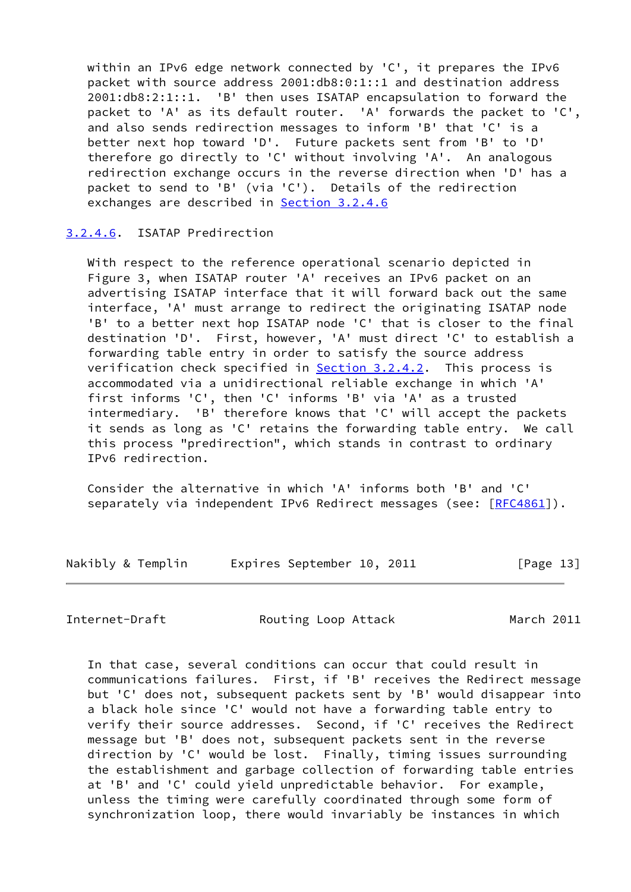within an IPv6 edge network connected by 'C', it prepares the IPv6 packet with source address 2001:db8:0:1::1 and destination address 2001:db8:2:1::1. 'B' then uses ISATAP encapsulation to forward the packet to 'A' as its default router. 'A' forwards the packet to 'C', and also sends redirection messages to inform 'B' that 'C' is a better next hop toward 'D'. Future packets sent from 'B' to 'D' therefore go directly to 'C' without involving 'A'. An analogous redirection exchange occurs in the reverse direction when 'D' has a packet to send to 'B' (via 'C'). Details of the redirection exchanges are described in [Section 3.2.4.6](#page-14-0)

#### <span id="page-14-0"></span>[3.2.4.6](#page-14-0). ISATAP Predirection

 With respect to the reference operational scenario depicted in Figure 3, when ISATAP router 'A' receives an IPv6 packet on an advertising ISATAP interface that it will forward back out the same interface, 'A' must arrange to redirect the originating ISATAP node 'B' to a better next hop ISATAP node 'C' that is closer to the final destination 'D'. First, however, 'A' must direct 'C' to establish a forwarding table entry in order to satisfy the source address verification check specified in **Section 3.2.4.2**. This process is accommodated via a unidirectional reliable exchange in which 'A' first informs 'C', then 'C' informs 'B' via 'A' as a trusted intermediary. 'B' therefore knows that 'C' will accept the packets it sends as long as 'C' retains the forwarding table entry. We call this process "predirection", which stands in contrast to ordinary IPv6 redirection.

 Consider the alternative in which 'A' informs both 'B' and 'C' separately via independent IPv6 Redirect messages (see: [\[RFC4861](https://datatracker.ietf.org/doc/pdf/rfc4861)]).

| Nakibly & Templin |  | Expires September 10, 2011 |  | [Page 13] |
|-------------------|--|----------------------------|--|-----------|
|-------------------|--|----------------------------|--|-----------|

Internet-Draft **Routing Loop Attack** March 2011

 In that case, several conditions can occur that could result in communications failures. First, if 'B' receives the Redirect message but 'C' does not, subsequent packets sent by 'B' would disappear into a black hole since 'C' would not have a forwarding table entry to verify their source addresses. Second, if 'C' receives the Redirect message but 'B' does not, subsequent packets sent in the reverse direction by 'C' would be lost. Finally, timing issues surrounding the establishment and garbage collection of forwarding table entries at 'B' and 'C' could yield unpredictable behavior. For example, unless the timing were carefully coordinated through some form of synchronization loop, there would invariably be instances in which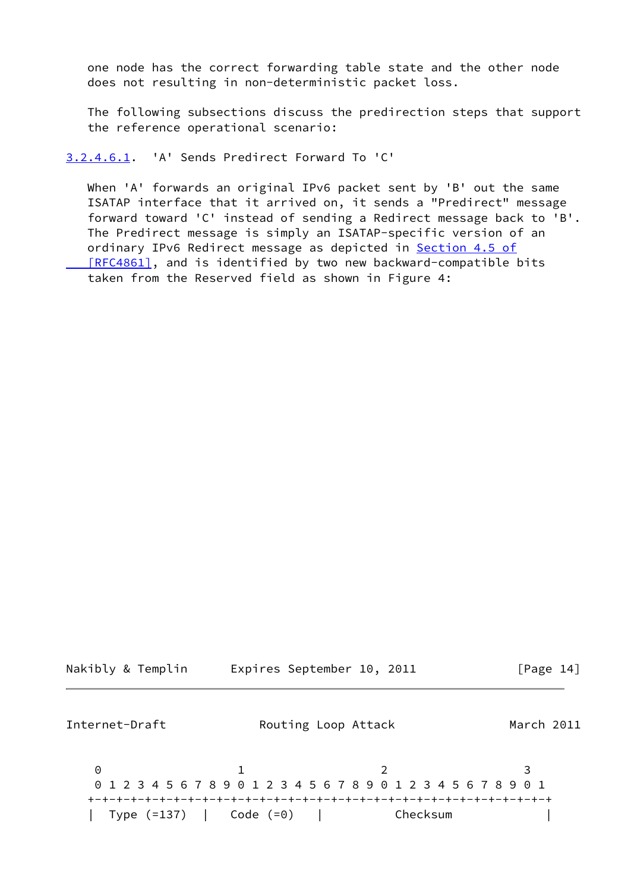one node has the correct forwarding table state and the other node does not resulting in non-deterministic packet loss.

 The following subsections discuss the predirection steps that support the reference operational scenario:

<span id="page-15-0"></span>[3.2.4.6.1](#page-15-0). 'A' Sends Predirect Forward To 'C'

 When 'A' forwards an original IPv6 packet sent by 'B' out the same ISATAP interface that it arrived on, it sends a "Predirect" message forward toward 'C' instead of sending a Redirect message back to 'B'. The Predirect message is simply an ISATAP-specific version of an ordinary IPv6 Redirect message as depicted in **Section 4.5 of** [RFC4861], and is identified by two new backward-compatible bits taken from the Reserved field as shown in Figure 4:

| Nakibly & Templin | Expires September 10, 2011 |  | [Page 14] |  |
|-------------------|----------------------------|--|-----------|--|
|                   |                            |  |           |  |

Internet-Draft **Routing Loop Attack** March 2011 0 1 2 3 0 1 2 3 4 5 6 7 8 9 0 1 2 3 4 5 6 7 8 9 0 1 2 3 4 5 6 7 8 9 0 1 +-+-+-+-+-+-+-+-+-+-+-+-+-+-+-+-+-+-+-+-+-+-+-+-+-+-+-+-+-+-+-+-+ | Type (=137) | Code (=0) | Checksum |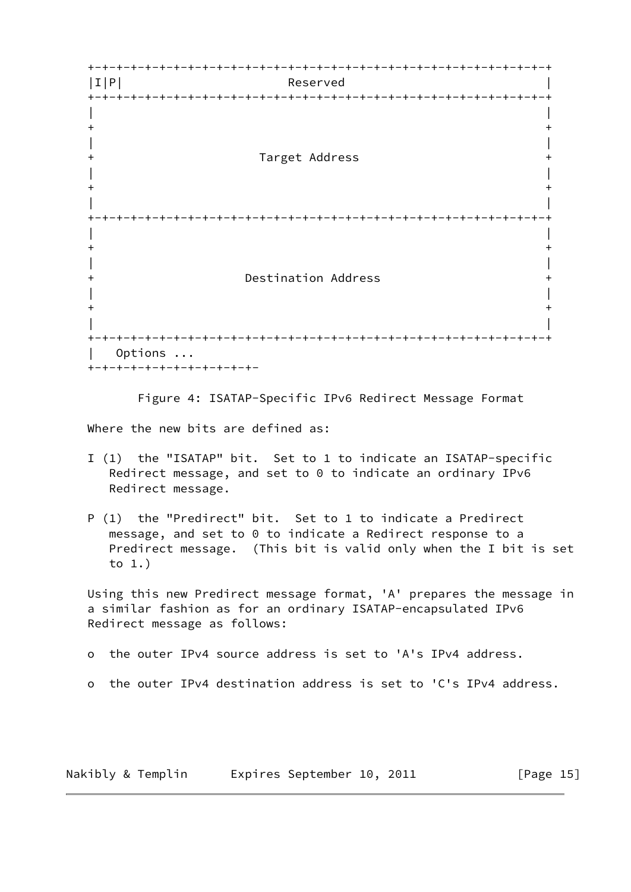

Figure 4: ISATAP-Specific IPv6 Redirect Message Format

Where the new bits are defined as:

- I (1) the "ISATAP" bit. Set to 1 to indicate an ISATAP-specific Redirect message, and set to 0 to indicate an ordinary IPv6 Redirect message.
- P (1) the "Predirect" bit. Set to 1 to indicate a Predirect message, and set to 0 to indicate a Redirect response to a Predirect message. (This bit is valid only when the I bit is set to 1.)

 Using this new Predirect message format, 'A' prepares the message in a similar fashion as for an ordinary ISATAP-encapsulated IPv6 Redirect message as follows:

o the outer IPv4 source address is set to 'A's IPv4 address.

o the outer IPv4 destination address is set to 'C's IPv4 address.

Nakibly & Templin Expires September 10, 2011 [Page 15]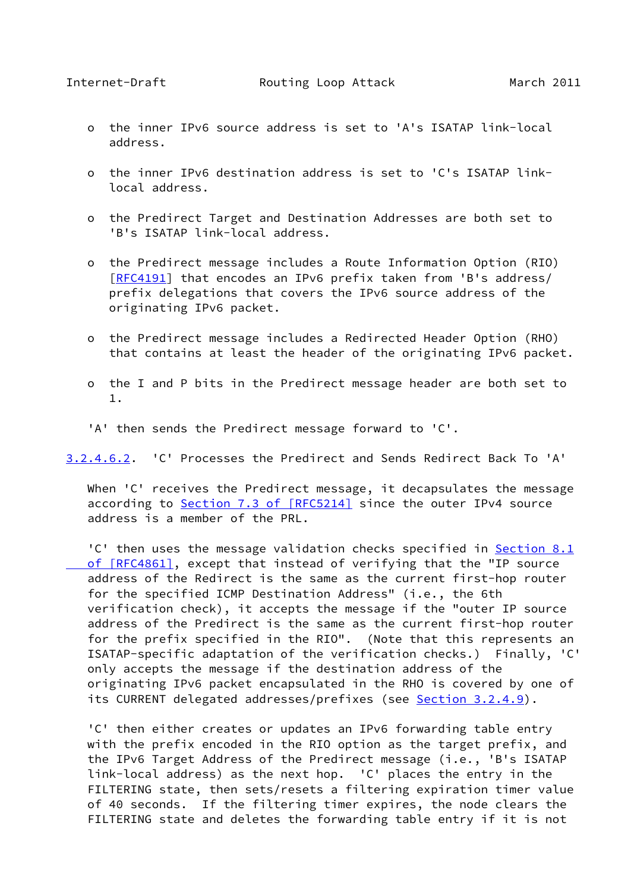- o the inner IPv6 source address is set to 'A's ISATAP link-local address.
- o the inner IPv6 destination address is set to 'C's ISATAP link local address.
- o the Predirect Target and Destination Addresses are both set to 'B's ISATAP link-local address.
- o the Predirect message includes a Route Information Option (RIO) [[RFC4191\]](https://datatracker.ietf.org/doc/pdf/rfc4191) that encodes an IPv6 prefix taken from 'B's address/ prefix delegations that covers the IPv6 source address of the originating IPv6 packet.
- o the Predirect message includes a Redirected Header Option (RHO) that contains at least the header of the originating IPv6 packet.
- o the I and P bits in the Predirect message header are both set to 1.
- 'A' then sends the Predirect message forward to 'C'.

<span id="page-17-0"></span>[3.2.4.6.2](#page-17-0). 'C' Processes the Predirect and Sends Redirect Back To 'A'

When 'C' receives the Predirect message, it decapsulates the message according to Section [7.3 of \[RFC5214\]](https://datatracker.ietf.org/doc/pdf/rfc5214#section-7.3) since the outer IPv4 source address is a member of the PRL.

'C' then uses the message validation checks specified in [Section](https://datatracker.ietf.org/doc/pdf/rfc4861#section-8.1) 8.1  [of \[RFC4861\]](https://datatracker.ietf.org/doc/pdf/rfc4861#section-8.1), except that instead of verifying that the "IP source address of the Redirect is the same as the current first-hop router for the specified ICMP Destination Address" (i.e., the 6th verification check), it accepts the message if the "outer IP source address of the Predirect is the same as the current first-hop router for the prefix specified in the RIO". (Note that this represents an ISATAP-specific adaptation of the verification checks.) Finally, 'C' only accepts the message if the destination address of the originating IPv6 packet encapsulated in the RHO is covered by one of its CURRENT delegated addresses/prefixes (see [Section 3.2.4.9](#page-22-1)).

 'C' then either creates or updates an IPv6 forwarding table entry with the prefix encoded in the RIO option as the target prefix, and the IPv6 Target Address of the Predirect message (i.e., 'B's ISATAP link-local address) as the next hop. 'C' places the entry in the FILTERING state, then sets/resets a filtering expiration timer value of 40 seconds. If the filtering timer expires, the node clears the FILTERING state and deletes the forwarding table entry if it is not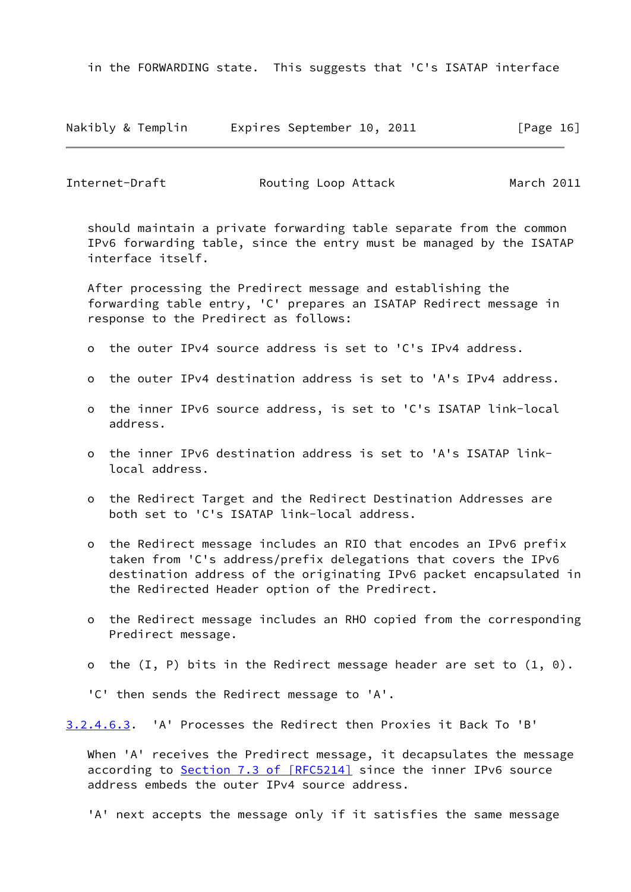in the FORWARDING state. This suggests that 'C's ISATAP interface

|  |  | Nakibly & Templin |  | Expires September 10, 2011 |  |  | [Page 16] |  |
|--|--|-------------------|--|----------------------------|--|--|-----------|--|
|--|--|-------------------|--|----------------------------|--|--|-----------|--|

| Internet-Draft | Routing Loop Attack | March 2011 |
|----------------|---------------------|------------|
|                |                     |            |

 should maintain a private forwarding table separate from the common IPv6 forwarding table, since the entry must be managed by the ISATAP interface itself.

 After processing the Predirect message and establishing the forwarding table entry, 'C' prepares an ISATAP Redirect message in response to the Predirect as follows:

- o the outer IPv4 source address is set to 'C's IPv4 address.
- o the outer IPv4 destination address is set to 'A's IPv4 address.
- o the inner IPv6 source address, is set to 'C's ISATAP link-local address.
- o the inner IPv6 destination address is set to 'A's ISATAP link local address.
- o the Redirect Target and the Redirect Destination Addresses are both set to 'C's ISATAP link-local address.
- o the Redirect message includes an RIO that encodes an IPv6 prefix taken from 'C's address/prefix delegations that covers the IPv6 destination address of the originating IPv6 packet encapsulated in the Redirected Header option of the Predirect.
- o the Redirect message includes an RHO copied from the corresponding Predirect message.
- o the  $(I, P)$  bits in the Redirect message header are set to  $(1, 0)$ .

'C' then sends the Redirect message to 'A'.

<span id="page-18-0"></span>[3.2.4.6.3](#page-18-0). 'A' Processes the Redirect then Proxies it Back To 'B'

When 'A' receives the Predirect message, it decapsulates the message according to Section [7.3 of \[RFC5214\]](https://datatracker.ietf.org/doc/pdf/rfc5214#section-7.3) since the inner IPv6 source address embeds the outer IPv4 source address.

'A' next accepts the message only if it satisfies the same message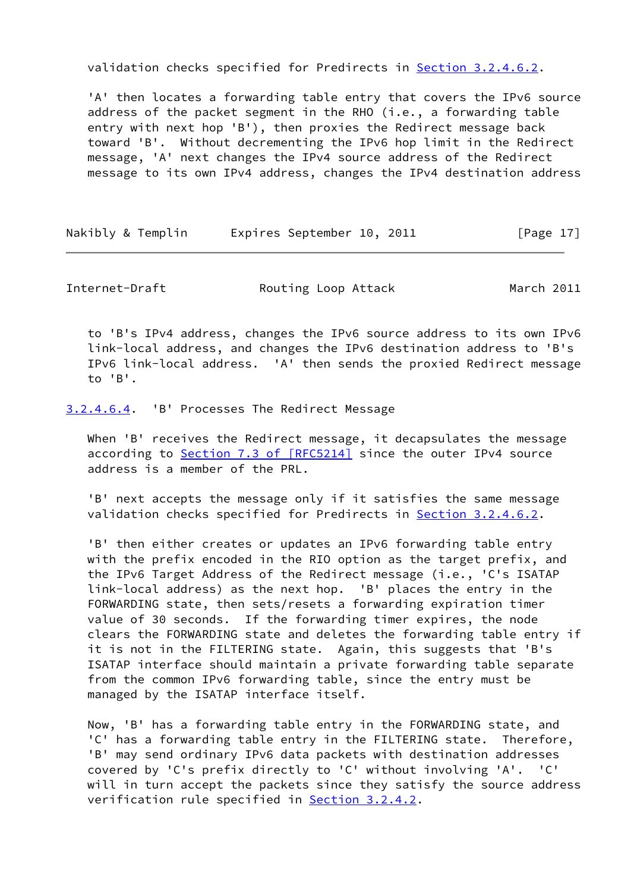validation checks specified for Predirects in [Section 3.2.4.6.2.](#page-17-0)

 'A' then locates a forwarding table entry that covers the IPv6 source address of the packet segment in the RHO (i.e., a forwarding table entry with next hop 'B'), then proxies the Redirect message back toward 'B'. Without decrementing the IPv6 hop limit in the Redirect message, 'A' next changes the IPv4 source address of the Redirect message to its own IPv4 address, changes the IPv4 destination address

Nakibly & Templin Expires September 10, 2011 [Page 17]

Internet-Draft **Routing Loop Attack** March 2011

 to 'B's IPv4 address, changes the IPv6 source address to its own IPv6 link-local address, and changes the IPv6 destination address to 'B's IPv6 link-local address. 'A' then sends the proxied Redirect message to 'B'.

<span id="page-19-0"></span>[3.2.4.6.4](#page-19-0). 'B' Processes The Redirect Message

When 'B' receives the Redirect message, it decapsulates the message according to Section [7.3 of \[RFC5214\]](https://datatracker.ietf.org/doc/pdf/rfc5214#section-7.3) since the outer IPv4 source address is a member of the PRL.

 'B' next accepts the message only if it satisfies the same message validation checks specified for Predirects in [Section 3.2.4.6.2.](#page-17-0)

 'B' then either creates or updates an IPv6 forwarding table entry with the prefix encoded in the RIO option as the target prefix, and the IPv6 Target Address of the Redirect message (i.e., 'C's ISATAP link-local address) as the next hop. 'B' places the entry in the FORWARDING state, then sets/resets a forwarding expiration timer value of 30 seconds. If the forwarding timer expires, the node clears the FORWARDING state and deletes the forwarding table entry if it is not in the FILTERING state. Again, this suggests that 'B's ISATAP interface should maintain a private forwarding table separate from the common IPv6 forwarding table, since the entry must be managed by the ISATAP interface itself.

 Now, 'B' has a forwarding table entry in the FORWARDING state, and 'C' has a forwarding table entry in the FILTERING state. Therefore, 'B' may send ordinary IPv6 data packets with destination addresses covered by 'C's prefix directly to 'C' without involving 'A'. 'C' will in turn accept the packets since they satisfy the source address verification rule specified in [Section 3.2.4.2](#page-10-1).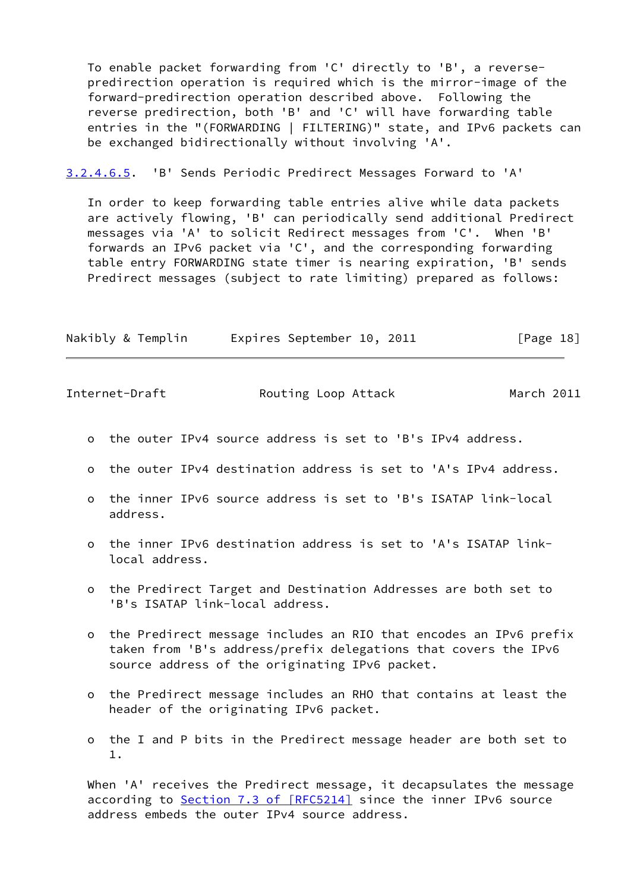To enable packet forwarding from 'C' directly to 'B', a reverse predirection operation is required which is the mirror-image of the forward-predirection operation described above. Following the reverse predirection, both 'B' and 'C' will have forwarding table entries in the "(FORWARDING | FILTERING)" state, and IPv6 packets can be exchanged bidirectionally without involving 'A'.

<span id="page-20-0"></span>[3.2.4.6.5](#page-20-0). 'B' Sends Periodic Predirect Messages Forward to 'A'

 In order to keep forwarding table entries alive while data packets are actively flowing, 'B' can periodically send additional Predirect messages via 'A' to solicit Redirect messages from 'C'. When 'B' forwards an IPv6 packet via 'C', and the corresponding forwarding table entry FORWARDING state timer is nearing expiration, 'B' sends Predirect messages (subject to rate limiting) prepared as follows:

| Nakibly & Templin | Expires September 10, 2011 |  | [Page 18] |
|-------------------|----------------------------|--|-----------|
|                   |                            |  |           |

| Internet-Draft |  | Routing Loop Attack | March 2011 |
|----------------|--|---------------------|------------|
|----------------|--|---------------------|------------|

- o the outer IPv4 source address is set to 'B's IPv4 address.
- o the outer IPv4 destination address is set to 'A's IPv4 address.
- o the inner IPv6 source address is set to 'B's ISATAP link-local address.
- o the inner IPv6 destination address is set to 'A's ISATAP link local address.
- o the Predirect Target and Destination Addresses are both set to 'B's ISATAP link-local address.
- o the Predirect message includes an RIO that encodes an IPv6 prefix taken from 'B's address/prefix delegations that covers the IPv6 source address of the originating IPv6 packet.
- o the Predirect message includes an RHO that contains at least the header of the originating IPv6 packet.
- o the I and P bits in the Predirect message header are both set to 1.

When 'A' receives the Predirect message, it decapsulates the message according to Section [7.3 of \[RFC5214\]](https://datatracker.ietf.org/doc/pdf/rfc5214#section-7.3) since the inner IPv6 source address embeds the outer IPv4 source address.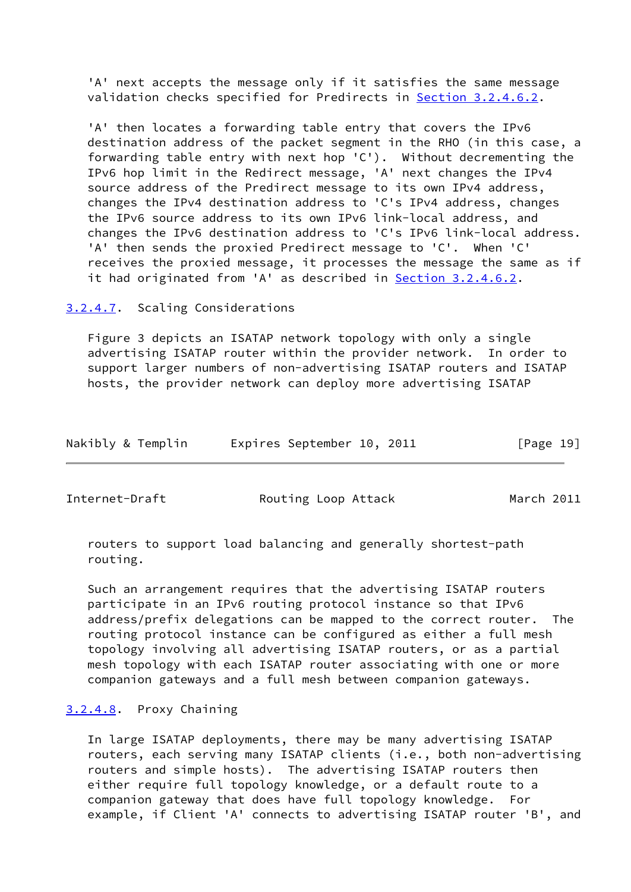'A' next accepts the message only if it satisfies the same message validation checks specified for Predirects in [Section 3.2.4.6.2.](#page-17-0)

 'A' then locates a forwarding table entry that covers the IPv6 destination address of the packet segment in the RHO (in this case, a forwarding table entry with next hop 'C'). Without decrementing the IPv6 hop limit in the Redirect message, 'A' next changes the IPv4 source address of the Predirect message to its own IPv4 address, changes the IPv4 destination address to 'C's IPv4 address, changes the IPv6 source address to its own IPv6 link-local address, and changes the IPv6 destination address to 'C's IPv6 link-local address. 'A' then sends the proxied Predirect message to 'C'. When 'C' receives the proxied message, it processes the message the same as if it had originated from 'A' as described in [Section 3.2.4.6.2.](#page-17-0)

<span id="page-21-0"></span>[3.2.4.7](#page-21-0). Scaling Considerations

 Figure 3 depicts an ISATAP network topology with only a single advertising ISATAP router within the provider network. In order to support larger numbers of non-advertising ISATAP routers and ISATAP hosts, the provider network can deploy more advertising ISATAP

| Nakibly & Templin |  | Expires September 10, 2011 |  |  | [Page 19] |  |
|-------------------|--|----------------------------|--|--|-----------|--|
|-------------------|--|----------------------------|--|--|-----------|--|

Internet-Draft **Routing Loop Attack** March 2011

 routers to support load balancing and generally shortest-path routing.

 Such an arrangement requires that the advertising ISATAP routers participate in an IPv6 routing protocol instance so that IPv6 address/prefix delegations can be mapped to the correct router. The routing protocol instance can be configured as either a full mesh topology involving all advertising ISATAP routers, or as a partial mesh topology with each ISATAP router associating with one or more companion gateways and a full mesh between companion gateways.

# <span id="page-21-1"></span>[3.2.4.8](#page-21-1). Proxy Chaining

 In large ISATAP deployments, there may be many advertising ISATAP routers, each serving many ISATAP clients (i.e., both non-advertising routers and simple hosts). The advertising ISATAP routers then either require full topology knowledge, or a default route to a companion gateway that does have full topology knowledge. For example, if Client 'A' connects to advertising ISATAP router 'B', and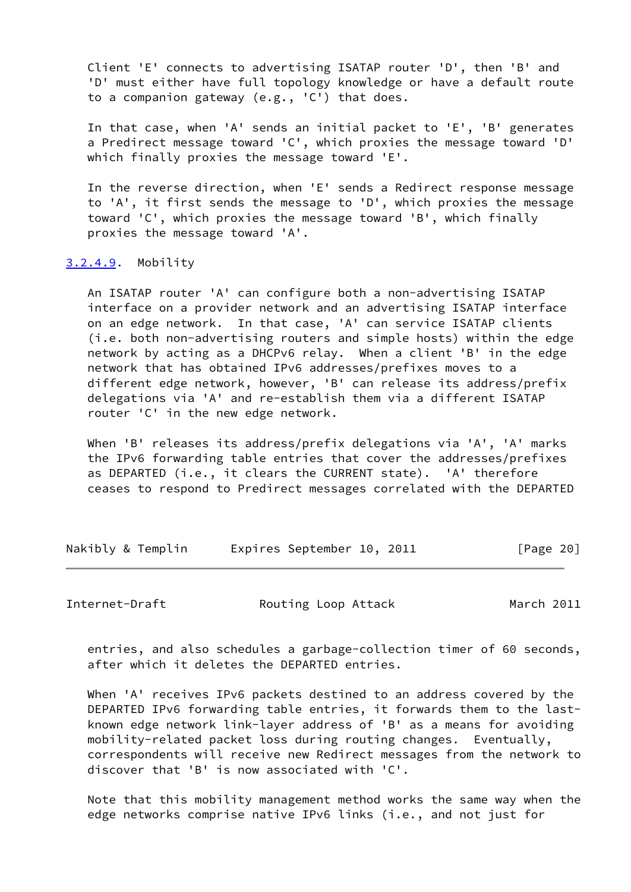Client 'E' connects to advertising ISATAP router 'D', then 'B' and 'D' must either have full topology knowledge or have a default route to a companion gateway (e.g., 'C') that does.

 In that case, when 'A' sends an initial packet to 'E', 'B' generates a Predirect message toward 'C', which proxies the message toward 'D' which finally proxies the message toward 'E'.

 In the reverse direction, when 'E' sends a Redirect response message to 'A', it first sends the message to 'D', which proxies the message toward 'C', which proxies the message toward 'B', which finally proxies the message toward 'A'.

# <span id="page-22-1"></span>[3.2.4.9](#page-22-1). Mobility

 An ISATAP router 'A' can configure both a non-advertising ISATAP interface on a provider network and an advertising ISATAP interface on an edge network. In that case, 'A' can service ISATAP clients (i.e. both non-advertising routers and simple hosts) within the edge network by acting as a DHCPv6 relay. When a client 'B' in the edge network that has obtained IPv6 addresses/prefixes moves to a different edge network, however, 'B' can release its address/prefix delegations via 'A' and re-establish them via a different ISATAP router 'C' in the new edge network.

 When 'B' releases its address/prefix delegations via 'A', 'A' marks the IPv6 forwarding table entries that cover the addresses/prefixes as DEPARTED (i.e., it clears the CURRENT state). 'A' therefore ceases to respond to Predirect messages correlated with the DEPARTED

|  |  | Nakibly & Templin |  | Expires September 10, 2011 |  |  | [Page 20] |  |
|--|--|-------------------|--|----------------------------|--|--|-----------|--|
|--|--|-------------------|--|----------------------------|--|--|-----------|--|

<span id="page-22-0"></span>Internet-Draft **Routing Loop Attack** March 2011

 entries, and also schedules a garbage-collection timer of 60 seconds, after which it deletes the DEPARTED entries.

 When 'A' receives IPv6 packets destined to an address covered by the DEPARTED IPv6 forwarding table entries, it forwards them to the last known edge network link-layer address of 'B' as a means for avoiding mobility-related packet loss during routing changes. Eventually, correspondents will receive new Redirect messages from the network to discover that 'B' is now associated with 'C'.

 Note that this mobility management method works the same way when the edge networks comprise native IPv6 links (i.e., and not just for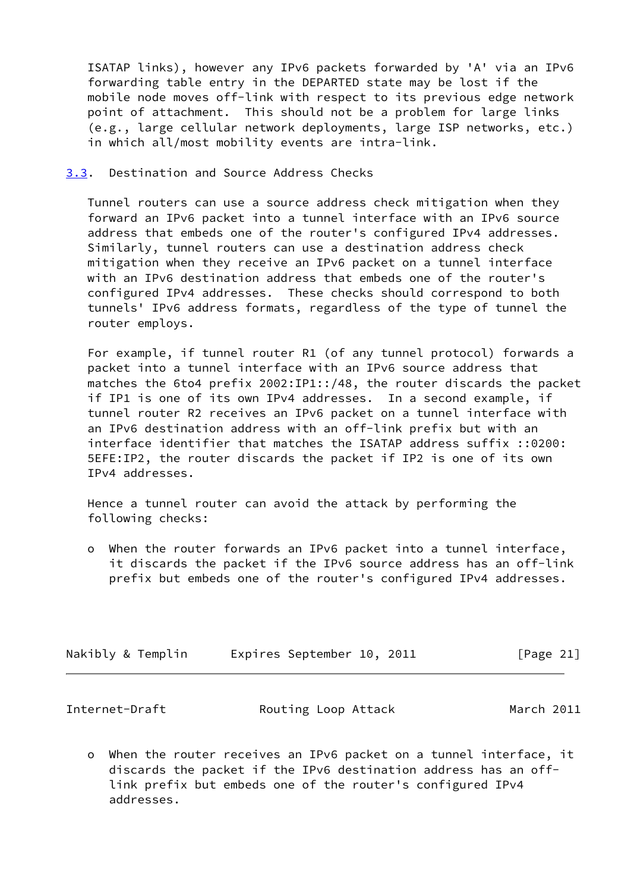ISATAP links), however any IPv6 packets forwarded by 'A' via an IPv6 forwarding table entry in the DEPARTED state may be lost if the mobile node moves off-link with respect to its previous edge network point of attachment. This should not be a problem for large links (e.g., large cellular network deployments, large ISP networks, etc.) in which all/most mobility events are intra-link.

<span id="page-23-0"></span>[3.3](#page-23-0). Destination and Source Address Checks

 Tunnel routers can use a source address check mitigation when they forward an IPv6 packet into a tunnel interface with an IPv6 source address that embeds one of the router's configured IPv4 addresses. Similarly, tunnel routers can use a destination address check mitigation when they receive an IPv6 packet on a tunnel interface with an IPv6 destination address that embeds one of the router's configured IPv4 addresses. These checks should correspond to both tunnels' IPv6 address formats, regardless of the type of tunnel the router employs.

 For example, if tunnel router R1 (of any tunnel protocol) forwards a packet into a tunnel interface with an IPv6 source address that matches the 6to4 prefix 2002:IP1::/48, the router discards the packet if IP1 is one of its own IPv4 addresses. In a second example, if tunnel router R2 receives an IPv6 packet on a tunnel interface with an IPv6 destination address with an off-link prefix but with an interface identifier that matches the ISATAP address suffix ::0200: 5EFE:IP2, the router discards the packet if IP2 is one of its own IPv4 addresses.

 Hence a tunnel router can avoid the attack by performing the following checks:

 o When the router forwards an IPv6 packet into a tunnel interface, it discards the packet if the IPv6 source address has an off-link prefix but embeds one of the router's configured IPv4 addresses.

| Nakibly & Templin | Expires September 10, 2011 | [Page 21] |
|-------------------|----------------------------|-----------|
|-------------------|----------------------------|-----------|

<span id="page-23-1"></span>

| Internet-Draft | Routing Loop Attack | March 2011 |
|----------------|---------------------|------------|
|----------------|---------------------|------------|

 o When the router receives an IPv6 packet on a tunnel interface, it discards the packet if the IPv6 destination address has an off link prefix but embeds one of the router's configured IPv4 addresses.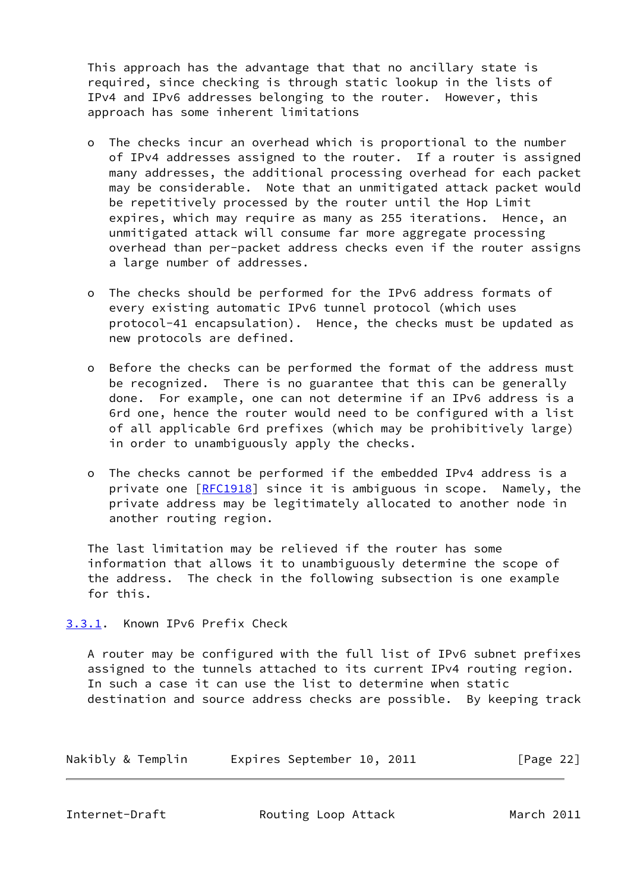This approach has the advantage that that no ancillary state is required, since checking is through static lookup in the lists of IPv4 and IPv6 addresses belonging to the router. However, this approach has some inherent limitations

- o The checks incur an overhead which is proportional to the number of IPv4 addresses assigned to the router. If a router is assigned many addresses, the additional processing overhead for each packet may be considerable. Note that an unmitigated attack packet would be repetitively processed by the router until the Hop Limit expires, which may require as many as 255 iterations. Hence, an unmitigated attack will consume far more aggregate processing overhead than per-packet address checks even if the router assigns a large number of addresses.
- o The checks should be performed for the IPv6 address formats of every existing automatic IPv6 tunnel protocol (which uses protocol-41 encapsulation). Hence, the checks must be updated as new protocols are defined.
- o Before the checks can be performed the format of the address must be recognized. There is no guarantee that this can be generally done. For example, one can not determine if an IPv6 address is a 6rd one, hence the router would need to be configured with a list of all applicable 6rd prefixes (which may be prohibitively large) in order to unambiguously apply the checks.
- o The checks cannot be performed if the embedded IPv4 address is a private one [\[RFC1918](https://datatracker.ietf.org/doc/pdf/rfc1918)] since it is ambiguous in scope. Namely, the private address may be legitimately allocated to another node in another routing region.

 The last limitation may be relieved if the router has some information that allows it to unambiguously determine the scope of the address. The check in the following subsection is one example for this.

<span id="page-24-0"></span>[3.3.1](#page-24-0). Known IPv6 Prefix Check

 A router may be configured with the full list of IPv6 subnet prefixes assigned to the tunnels attached to its current IPv4 routing region. In such a case it can use the list to determine when static destination and source address checks are possible. By keeping track

| Nakibly & Templin |  | Expires September 10, 2011 |  |  | [Page 22] |  |
|-------------------|--|----------------------------|--|--|-----------|--|
|-------------------|--|----------------------------|--|--|-----------|--|

<span id="page-24-1"></span>

Internet-Draft **Routing Loop Attack** March 2011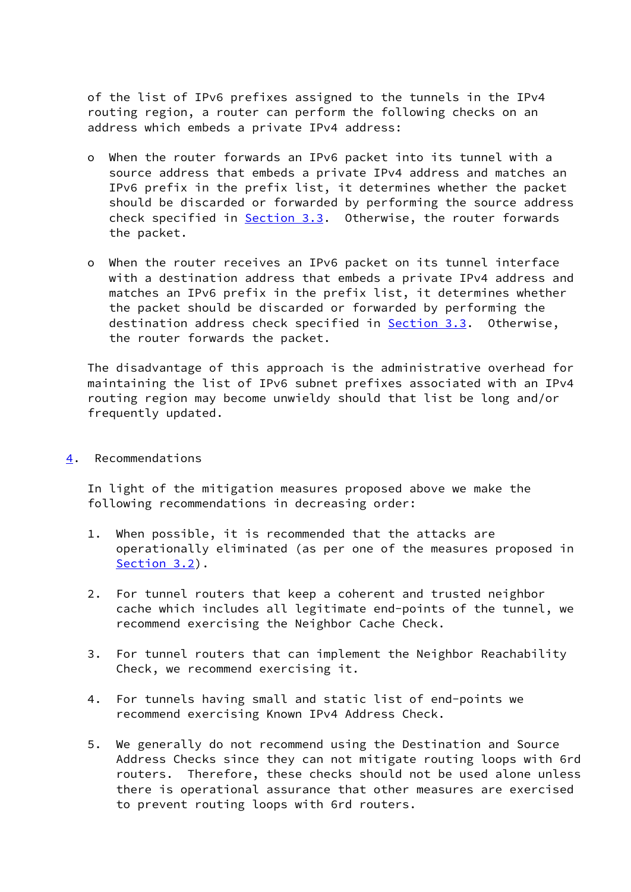of the list of IPv6 prefixes assigned to the tunnels in the IPv4 routing region, a router can perform the following checks on an address which embeds a private IPv4 address:

- o When the router forwards an IPv6 packet into its tunnel with a source address that embeds a private IPv4 address and matches an IPv6 prefix in the prefix list, it determines whether the packet should be discarded or forwarded by performing the source address check specified in [Section 3.3](#page-23-0). Otherwise, the router forwards the packet.
- o When the router receives an IPv6 packet on its tunnel interface with a destination address that embeds a private IPv4 address and matches an IPv6 prefix in the prefix list, it determines whether the packet should be discarded or forwarded by performing the destination address check specified in [Section 3.3](#page-23-0). Otherwise, the router forwards the packet.

 The disadvantage of this approach is the administrative overhead for maintaining the list of IPv6 subnet prefixes associated with an IPv4 routing region may become unwieldy should that list be long and/or frequently updated.

<span id="page-25-0"></span>[4](#page-25-0). Recommendations

 In light of the mitigation measures proposed above we make the following recommendations in decreasing order:

- 1. When possible, it is recommended that the attacks are operationally eliminated (as per one of the measures proposed in [Section 3.2\)](#page-7-1).
- 2. For tunnel routers that keep a coherent and trusted neighbor cache which includes all legitimate end-points of the tunnel, we recommend exercising the Neighbor Cache Check.
- 3. For tunnel routers that can implement the Neighbor Reachability Check, we recommend exercising it.
- 4. For tunnels having small and static list of end-points we recommend exercising Known IPv4 Address Check.
- 5. We generally do not recommend using the Destination and Source Address Checks since they can not mitigate routing loops with 6rd routers. Therefore, these checks should not be used alone unless there is operational assurance that other measures are exercised to prevent routing loops with 6rd routers.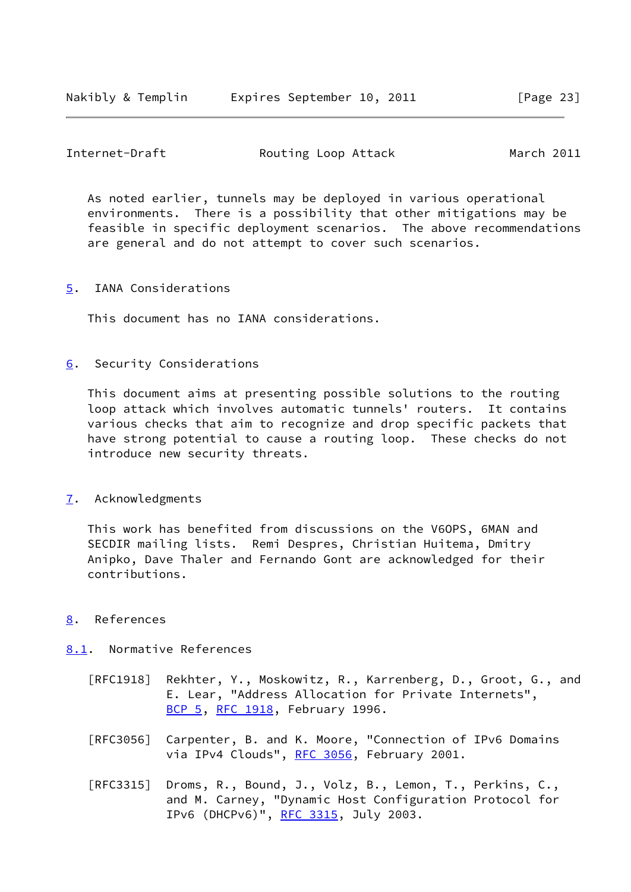# <span id="page-26-1"></span>Internet-Draft **Routing Loop Attack** March 2011

 As noted earlier, tunnels may be deployed in various operational environments. There is a possibility that other mitigations may be feasible in specific deployment scenarios. The above recommendations are general and do not attempt to cover such scenarios.

# <span id="page-26-0"></span>[5](#page-26-0). IANA Considerations

This document has no IANA considerations.

# <span id="page-26-2"></span>[6](#page-26-2). Security Considerations

 This document aims at presenting possible solutions to the routing loop attack which involves automatic tunnels' routers. It contains various checks that aim to recognize and drop specific packets that have strong potential to cause a routing loop. These checks do not introduce new security threats.

# <span id="page-26-3"></span>[7](#page-26-3). Acknowledgments

 This work has benefited from discussions on the V6OPS, 6MAN and SECDIR mailing lists. Remi Despres, Christian Huitema, Dmitry Anipko, Dave Thaler and Fernando Gont are acknowledged for their contributions.

# <span id="page-26-4"></span>[8](#page-26-4). References

# <span id="page-26-5"></span>[8.1](#page-26-5). Normative References

- [RFC1918] Rekhter, Y., Moskowitz, R., Karrenberg, D., Groot, G., and E. Lear, "Address Allocation for Private Internets", [BCP 5,](https://datatracker.ietf.org/doc/pdf/bcp5) [RFC 1918](https://datatracker.ietf.org/doc/pdf/rfc1918), February 1996.
- [RFC3056] Carpenter, B. and K. Moore, "Connection of IPv6 Domains via IPv4 Clouds", [RFC 3056](https://datatracker.ietf.org/doc/pdf/rfc3056), February 2001.
- [RFC3315] Droms, R., Bound, J., Volz, B., Lemon, T., Perkins, C., and M. Carney, "Dynamic Host Configuration Protocol for IPv6 (DHCPv6)", [RFC 3315,](https://datatracker.ietf.org/doc/pdf/rfc3315) July 2003.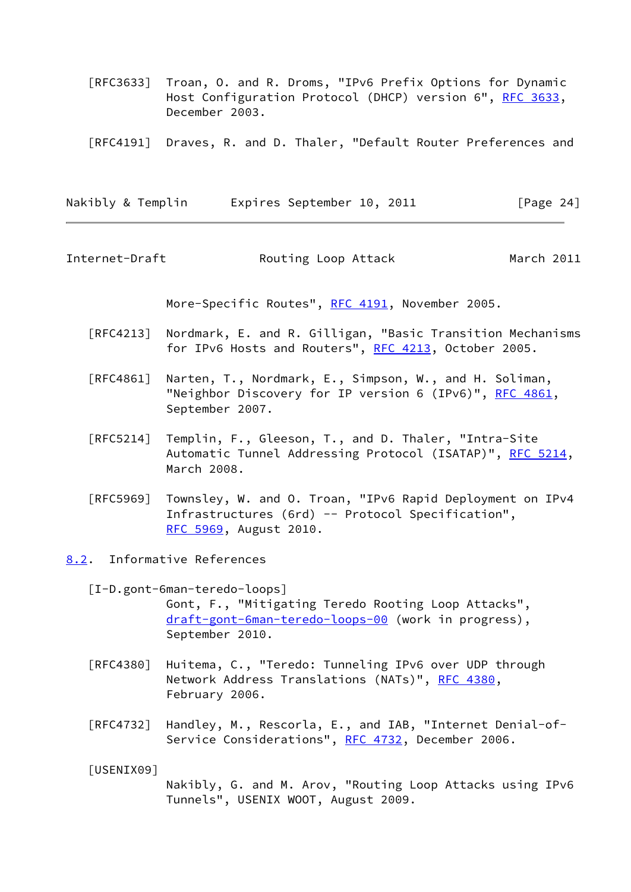- [RFC3633] Troan, O. and R. Droms, "IPv6 Prefix Options for Dynamic Host Configuration Protocol (DHCP) version 6", [RFC 3633](https://datatracker.ietf.org/doc/pdf/rfc3633), December 2003.
- [RFC4191] Draves, R. and D. Thaler, "Default Router Preferences and

Nakibly & Templin Expires September 10, 2011 [Page 24]

<span id="page-27-1"></span>Internet-Draft **Routing Loop Attack** March 2011

More-Specific Routes", [RFC 4191](https://datatracker.ietf.org/doc/pdf/rfc4191), November 2005.

- [RFC4213] Nordmark, E. and R. Gilligan, "Basic Transition Mechanisms for IPv6 Hosts and Routers", [RFC 4213](https://datatracker.ietf.org/doc/pdf/rfc4213), October 2005.
- [RFC4861] Narten, T., Nordmark, E., Simpson, W., and H. Soliman, "Neighbor Discovery for IP version 6 (IPv6)", [RFC 4861](https://datatracker.ietf.org/doc/pdf/rfc4861), September 2007.
- [RFC5214] Templin, F., Gleeson, T., and D. Thaler, "Intra-Site Automatic Tunnel Addressing Protocol (ISATAP)", [RFC 5214,](https://datatracker.ietf.org/doc/pdf/rfc5214) March 2008.
- [RFC5969] Townsley, W. and O. Troan, "IPv6 Rapid Deployment on IPv4 Infrastructures (6rd) -- Protocol Specification", [RFC 5969,](https://datatracker.ietf.org/doc/pdf/rfc5969) August 2010.
- <span id="page-27-3"></span><span id="page-27-0"></span>[8.2](#page-27-0). Informative References
	- [I-D.gont-6man-teredo-loops] Gont, F., "Mitigating Teredo Rooting Loop Attacks", [draft-gont-6man-teredo-loops-00](https://datatracker.ietf.org/doc/pdf/draft-gont-6man-teredo-loops-00) (work in progress), September 2010.
	- [RFC4380] Huitema, C., "Teredo: Tunneling IPv6 over UDP through Network Address Translations (NATs)", [RFC 4380](https://datatracker.ietf.org/doc/pdf/rfc4380), February 2006.
	- [RFC4732] Handley, M., Rescorla, E., and IAB, "Internet Denial-of- Service Considerations", [RFC 4732,](https://datatracker.ietf.org/doc/pdf/rfc4732) December 2006.

<span id="page-27-2"></span>[USENIX09]

 Nakibly, G. and M. Arov, "Routing Loop Attacks using IPv6 Tunnels", USENIX WOOT, August 2009.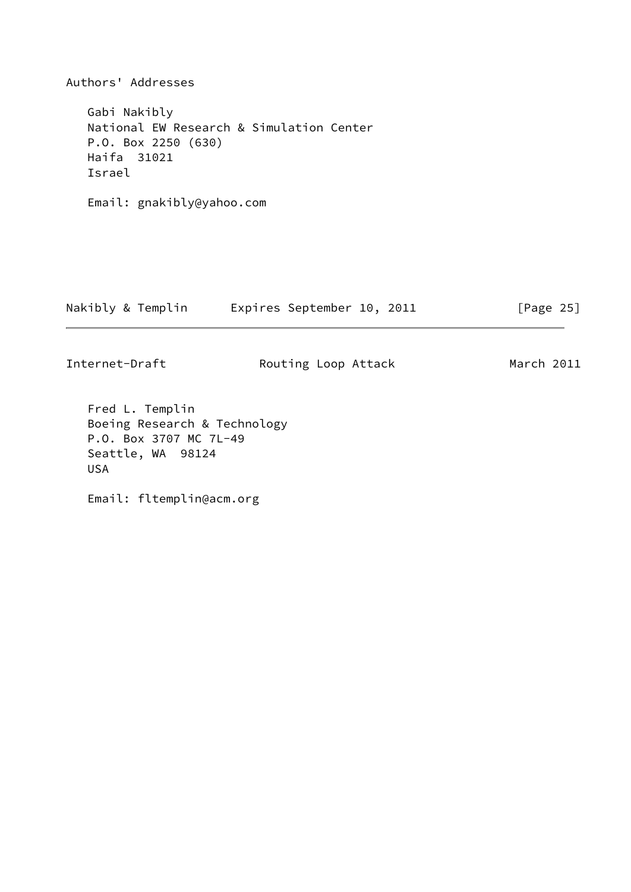Authors' Addresses Gabi Nakibly National EW Research & Simulation Center P.O. Box 2250 (630) Haifa 31021 Israel Email: gnakibly@yahoo.com Nakibly & Templin Expires September 10, 2011 [Page 25]

Internet-Draft **Routing Loop Attack** March 2011

 Fred L. Templin Boeing Research & Technology P.O. Box 3707 MC 7L-49 Seattle, WA 98124 USA

Email: fltemplin@acm.org